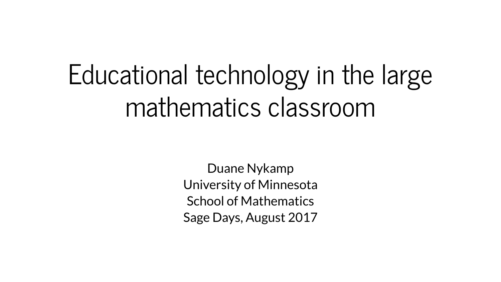# Educational technology in the large mathematics classroom

Duane Nykamp University of Minnesota School of Mathematics Sage Days, August 2017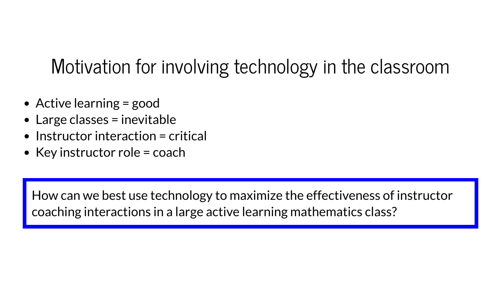# Motivation for involving technology in the classroom

- Active learning = good
- Large classes = inevitable
- $\bullet$  Instructor interaction = critical
- Key instructor role  $=$  coach

How can we best use technology to maximize the effectiveness of instructor coaching interactions in a large active learning mathematics class?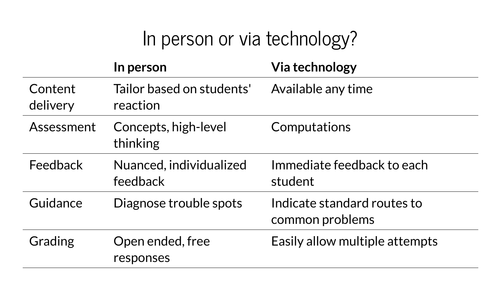# In person or via technology?

|                     | In person                             | <b>Via technology</b>                          |
|---------------------|---------------------------------------|------------------------------------------------|
| Content<br>delivery | Tailor based on students'<br>reaction | Available any time                             |
| Assessment          | Concepts, high-level<br>thinking      | Computations                                   |
| Feedback            | Nuanced, individualized<br>feedback   | Immediate feedback to each<br>student          |
| Guidance            | Diagnose trouble spots                | Indicate standard routes to<br>common problems |
| Grading             | Open ended, free<br>responses         | Easily allow multiple attempts                 |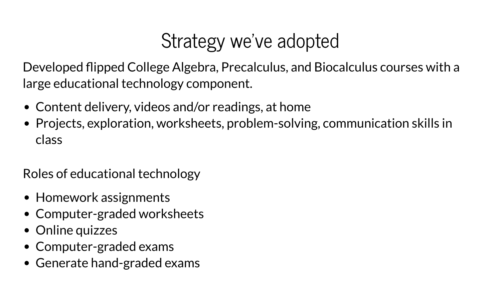# Strategy we've adopted

Developed flipped College Algebra, Precalculus, and Biocalculus courses with a large educational technology component.

- Content delivery, videos and/or readings, at home
- Projects, exploration, worksheets, problem-solving, communication skills in class

Roles of educational technology

- Homework assignments
- Computer-graded worksheets
- Online quizzes
- Computer-graded exams
- Generate hand-graded exams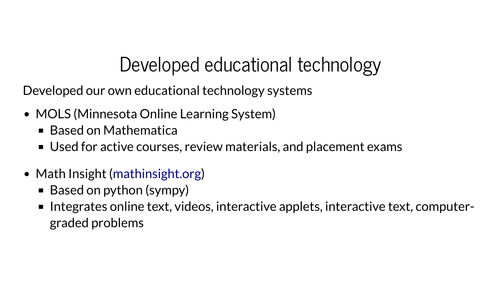# Developed educational technology

Developed our own educational technology systems

- MOLS (Minnesota Online Learning System)
	- Based on Mathematica
	- Used for active courses, review materials, and placement exams
- Math Insight ([mathinsight.org](http://mathinsight.org/))
	- Based on python (sympy)
	- Integrates online text, videos, interactive applets, interactive text, computergraded problems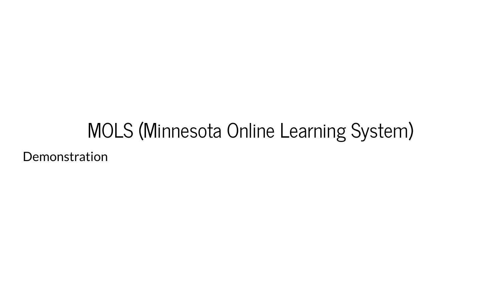# MOLS (Minnesota Online Learning System) Demonstration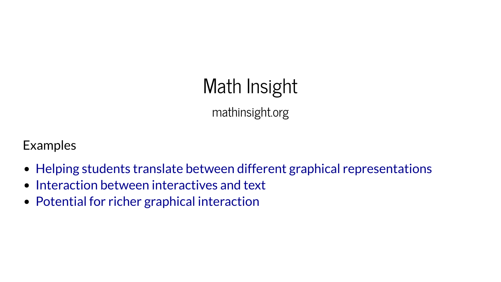# Math Insight mathinsight.org

Examples

- Helping students translate between different graphical [representations](http://mathinsight.org/assess/math1241/solving_single_autonomous_differential_equations_graphical)
- Interaction between [interactives](http://mathinsight.org/assess/math2241/graphical_matrix_vector_multiplication) and text
- Potential for richer graphical [interaction](http://mathinsight.org/directional_derivative_gradient_introduction)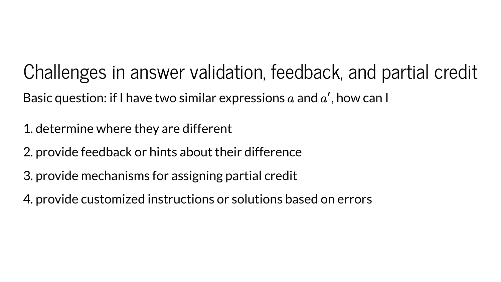Challenges in answer validation, feedback, and partial credit Basic question: if I have two similar expressions  $a$  and  $a'$ , how can I ′

1. determine where they are different

2. provide feedback or hints about their difference

3. provide mechanisms for assigning partial credit

4. provide customized instructions or solutions based on errors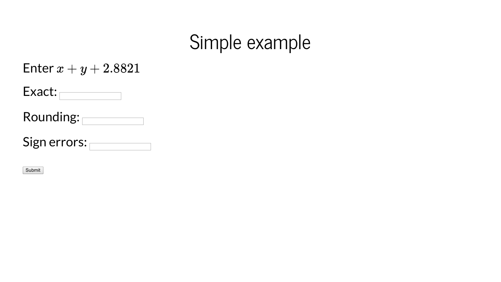#### Simple example

| Enter $x+y+2.8821$ |
|--------------------|
|--------------------|

| <b>\act.</b><br>— / |  |
|---------------------|--|

Rounding:

Sign errors:

Submit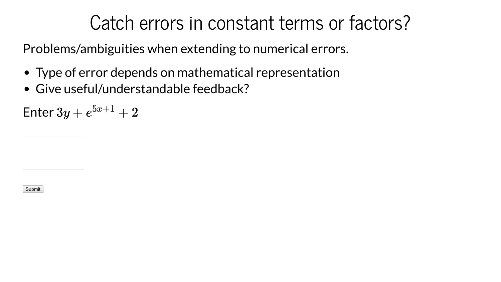#### Catch errors in constant terms or factors?

Problems/ambiguities when extending to numerical errors.

- Type of error depends on mathematical representation
- Give useful/understandable feedback?

Enter  $3y+e^{5x+1}+2$ 

Submit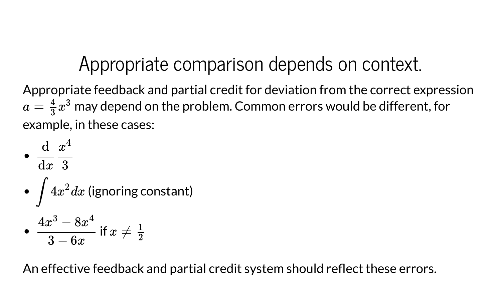#### Appropriate comparison depends on context.

Appropriate feedback and partial credit for deviation from the correct expression  $a=\frac{4}{3}x^3$  may depend on the problem. Common errors would be different, for example, in these cases:  $\frac{4}{3}x^2$ 3

\n- $$
\frac{d}{dx} \frac{x^4}{3}
$$
\n- $\int 4x^2 dx$  (ignoring constant)
\n- $\frac{4x^3 - 8x^4}{3 - 6x}$  if  $x \neq \frac{1}{2}$
\n

An effective feedback and partial credit system should reflect these errors.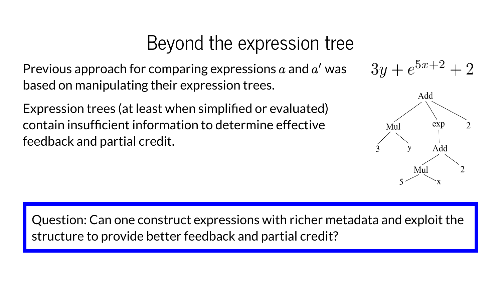#### Beyond the expression tree

Previous approach for comparing expressions  $a$  and  $a'$  was based on manipulating their expression trees. ′

Expression trees (at least when simplified or evaluated) contain insufficient information to determine effective feedback and partial credit.





Question: Can one construct expressions with richer metadata and exploit the structure to provide better feedback and partial credit?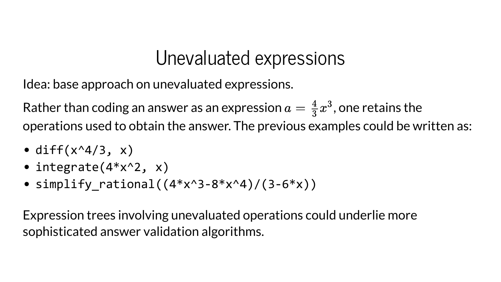#### Unevaluated expressions

Idea: base approach on unevaluated expressions.

Rather than coding an answer as an expression  $a=\frac{4}{3}x^3,$  one retains the operations used to obtain the answer. The previous examples could be written as:  $\frac{4}{3}x^2$ 3

- diff $(x^4/3, x)$
- $\bullet$  integrate(4\*x^2, x)
- simplify rational( $(4*x^3-8*x^4)/(3-6*x)$ )

Expression trees involving unevaluated operations could underlie more sophisticated answer validation algorithms.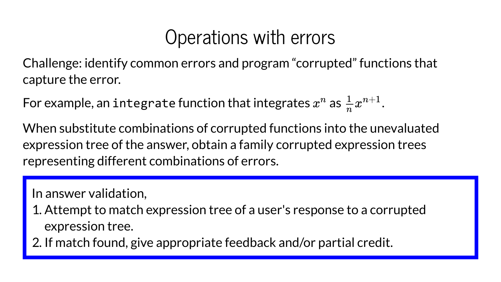#### Operations with errors

Challenge: identify common errors and program "corrupted" functions that capture the error.

For example, an integrate function that integrates  $x^n$  as  $\frac{1}{n}x^{n+1}$ .  $n$  as  $\frac{1}{1}$  $\frac{1}{n}\pmb{x^{\prime}}$  $n+1$ 

When substitute combinations of corrupted functions into the unevaluated expression tree of the answer, obtain a family corrupted expression trees representing different combinations of errors.

In answer validation,

- 1. Attempt to match expression tree of a user's response to a corrupted expression tree.
- 2. If match found, give appropriate feedback and/or partial credit.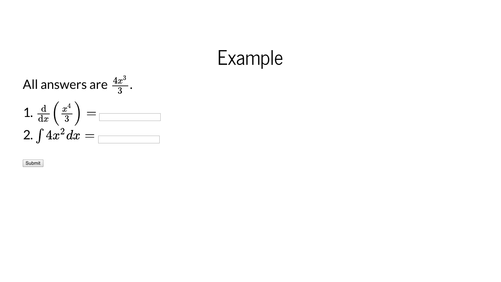#### E x a m ple

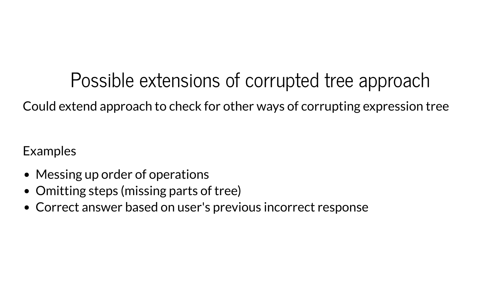Possible extensions of corrupted tree approach Could extend approach to check for other ways of corrupting expression tree

Examples

- Messing up order of operations
- Omitting steps (missing parts of tree)
- Correct answer based on user's previous incorrect response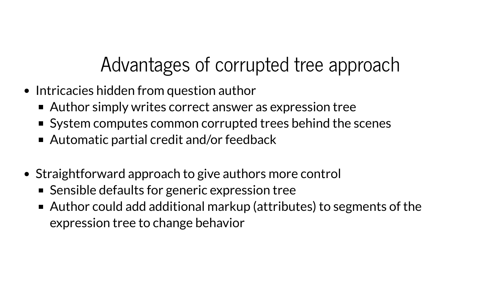# Advantages of corrupted tree approach

- Intricacies hidden from question author
	- Author simply writes correct answer as expression tree
	- System computes common corrupted trees behind the scenes
	- Automatic partial credit and/or feedback
- Straightforward approach to give authors more control
	- Sensible defaults for generic expression tree
	- Author could add additional markup (attributes) to segments of the expression tree to change behavior